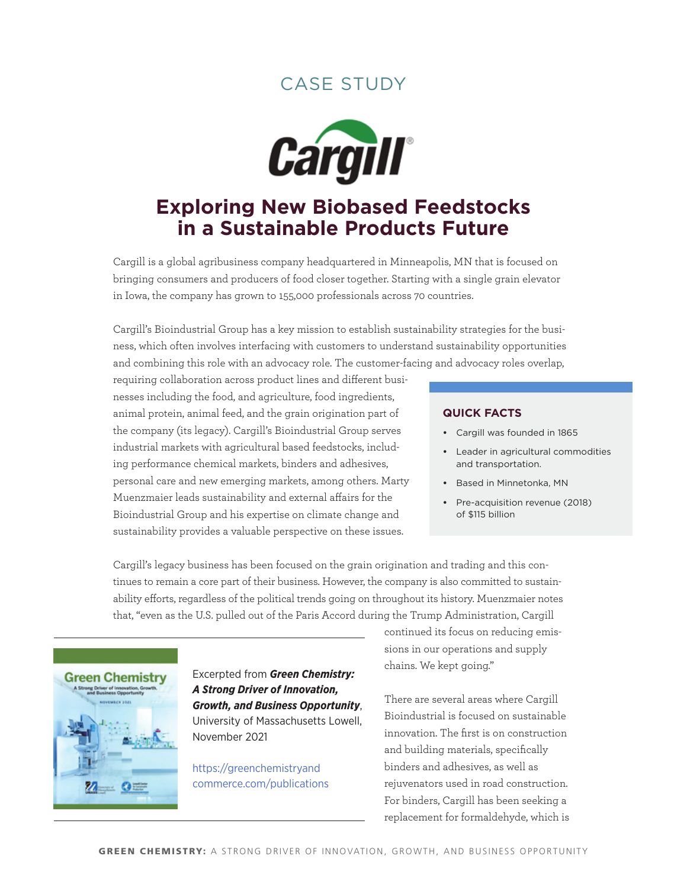### case studY



# **Exploring New Biobased Feedstocks in a Sustainable Products Future**

Cargill is a global agribusiness company headquartered in Minneapolis, MN that is focused on bringing consumers and producers of food closer together. Starting with a single grain elevator in Iowa, the company has grown to 155,000 professionals across 70 countries.

Cargill's Bioindustrial Group has a key mission to establish sustainability strategies for the business, which often involves interfacing with customers to understand sustainability opportunities and combining this role with an advocacy role. The customer-facing and advocacy roles overlap,

requiring collaboration across product lines and different businesses including the food, and agriculture, food ingredients, animal protein, animal feed, and the grain origination part of the company (its legacy). Cargill's Bioindustrial Group serves industrial markets with agricultural based feedstocks, including performance chemical markets, binders and adhesives, personal care and new emerging markets, among others. Marty Muenzmaier leads sustainability and external affairs for the Bioindustrial Group and his expertise on climate change and sustainability provides a valuable perspective on these issues.

#### **quick Facts**

- **•**  Cargill was founded in 1865
- **•**  Leader in agricultural commodities and transportation.
- **•**  Based in Minnetonka, MN
- **•**  Pre-acquisition revenue (2018) of \$115 billion

Cargill's legacy business has been focused on the grain origination and trading and this continues to remain a core part of their business. However, the company is also committed to sustainability efforts, regardless of the political trends going on throughout its history. Muenzmaier notes that, "even as the U.S. pulled out of the Paris Accord during the Trump Administration, Cargill



Excerpted from *Green Chemistry: A Strong Driver of Innovation, Growth, and Business Opportunity*, University of Massachusetts Lowell, November 2021

[https://greenchemistryand](https://greenchemistryandcommerce.com/publications) [commerce.com/publications](https://greenchemistryandcommerce.com/publications) continued its focus on reducing emissions in our operations and supply chains. We kept going."

There are several areas where Cargill Bioindustrial is focused on sustainable innovation. The first is on construction and building materials, specifically binders and adhesives, as well as rejuvenators used in road construction. For binders, Cargill has been seeking a replacement for formaldehyde, which is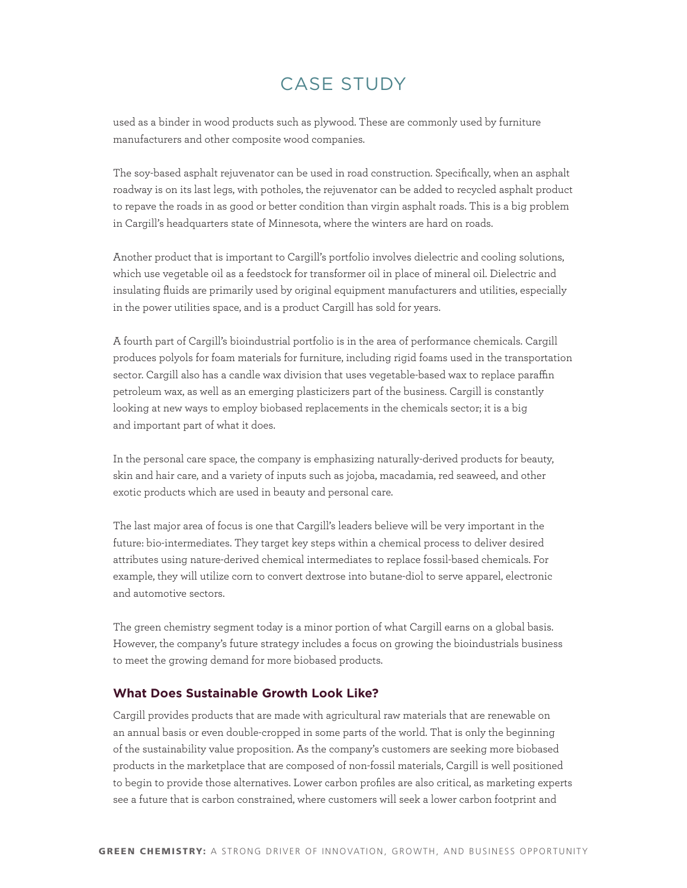## case studY

used as a binder in wood products such as plywood. These are commonly used by furniture manufacturers and other composite wood companies.

The soy-based asphalt rejuvenator can be used in road construction. Specifically, when an asphalt roadway is on its last legs, with potholes, the rejuvenator can be added to recycled asphalt product to repave the roads in as good or better condition than virgin asphalt roads. This is a big problem in Cargill's headquarters state of Minnesota, where the winters are hard on roads.

Another product that is important to Cargill's portfolio involves dielectric and cooling solutions, which use vegetable oil as a feedstock for transformer oil in place of mineral oil. Dielectric and insulating fluids are primarily used by original equipment manufacturers and utilities, especially in the power utilities space, and is a product Cargill has sold for years.

A fourth part of Cargill's bioindustrial portfolio is in the area of performance chemicals. Cargill produces polyols for foam materials for furniture, including rigid foams used in the transportation sector. Cargill also has a candle wax division that uses vegetable-based wax to replace paraffin petroleum wax, as well as an emerging plasticizers part of the business. Cargill is constantly looking at new ways to employ biobased replacements in the chemicals sector; it is a big and important part of what it does.

In the personal care space, the company is emphasizing naturally-derived products for beauty, skin and hair care, and a variety of inputs such as jojoba, macadamia, red seaweed, and other exotic products which are used in beauty and personal care.

The last major area of focus is one that Cargill's leaders believe will be very important in the future: bio-intermediates. They target key steps within a chemical process to deliver desired attributes using nature-derived chemical intermediates to replace fossil-based chemicals. For example, they will utilize corn to convert dextrose into butane-diol to serve apparel, electronic and automotive sectors.

The green chemistry segment today is a minor portion of what Cargill earns on a global basis. However, the company's future strategy includes a focus on growing the bioindustrials business to meet the growing demand for more biobased products.

### **What Does Sustainable Growth Look Like?**

Cargill provides products that are made with agricultural raw materials that are renewable on an annual basis or even double-cropped in some parts of the world. That is only the beginning of the sustainability value proposition. As the company's customers are seeking more biobased products in the marketplace that are composed of non-fossil materials, Cargill is well positioned to begin to provide those alternatives. Lower carbon profiles are also critical, as marketing experts see a future that is carbon constrained, where customers will seek a lower carbon footprint and